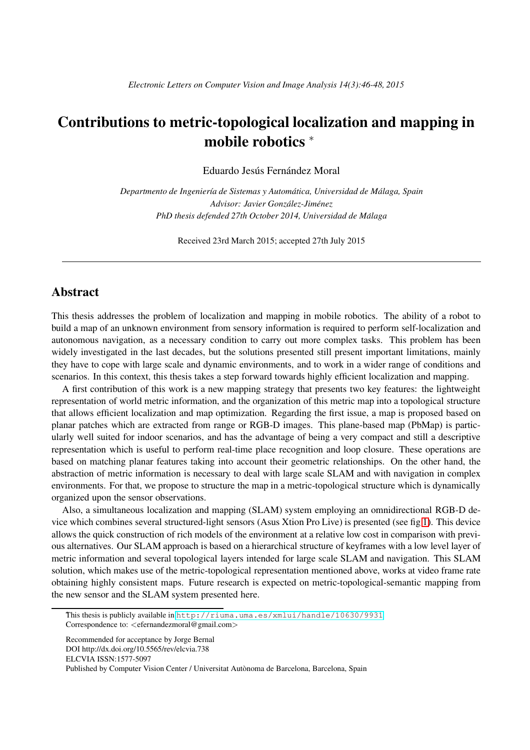## Contributions to metric-topological localization and mapping in mobile robotics <sup>∗</sup>

Eduardo Jesús Fernández Moral

*Departmento de Ingenier´ıa de Sistemas y Automatica, Universidad de M ´ alaga, Spain ´ Advisor: Javier Gonzalez-Jim ´ enez ´ PhD thesis defended 27th October 2014, Universidad de Malaga ´*

Received 23rd March 2015; accepted 27th July 2015

## **Abstract**

This thesis addresses the problem of localization and mapping in mobile robotics. The ability of a robot to build a map of an unknown environment from sensory information is required to perform self-localization and autonomous navigation, as a necessary condition to carry out more complex tasks. This problem has been widely investigated in the last decades, but the solutions presented still present important limitations, mainly they have to cope with large scale and dynamic environments, and to work in a wider range of conditions and scenarios. In this context, this thesis takes a step forward towards highly efficient localization and mapping.

A first contribution of this work is a new mapping strategy that presents two key features: the lightweight representation of world metric information, and the organization of this metric map into a topological structure that allows efficient localization and map optimization. Regarding the first issue, a map is proposed based on planar patches which are extracted from range or RGB-D images. This plane-based map (PbMap) is particularly well suited for indoor scenarios, and has the advantage of being a very compact and still a descriptive representation which is useful to perform real-time place recognition and loop closure. These operations are based on matching planar features taking into account their geometric relationships. On the other hand, the abstraction of metric information is necessary to deal with large scale SLAM and with navigation in complex environments. For that, we propose to structure the map in a metric-topological structure which is dynamically organized upon the sensor observations.

Also, a simultaneous localization and mapping (SLAM) system employing an omnidirectional RGB-D device which combines several structured-light sensors (Asus Xtion Pro Live) is presented (see fig [1\)](#page-1-0). This device allows the quick construction of rich models of the environment at a relative low cost in comparison with previous alternatives. Our SLAM approach is based on a hierarchical structure of keyframes with a low level layer of metric information and several topological layers intended for large scale SLAM and navigation. This SLAM solution, which makes use of the metric-topological representation mentioned above, works at video frame rate obtaining highly consistent maps. Future research is expected on metric-topological-semantic mapping from the new sensor and the SLAM system presented here.

Recommended for acceptance by Jorge Bernal DOI http://dx.doi.org/10.5565/rev/elcvia.738 ELCVIA ISSN:1577-5097

Published by Computer Vision Center / Universitat Autònoma de Barcelona, Barcelona, Spain

<sup>∗</sup>This thesis is publicly available in <http://riuma.uma.es/xmlui/handle/10630/9931> Correspondence to: <efernandezmoral@gmail.com>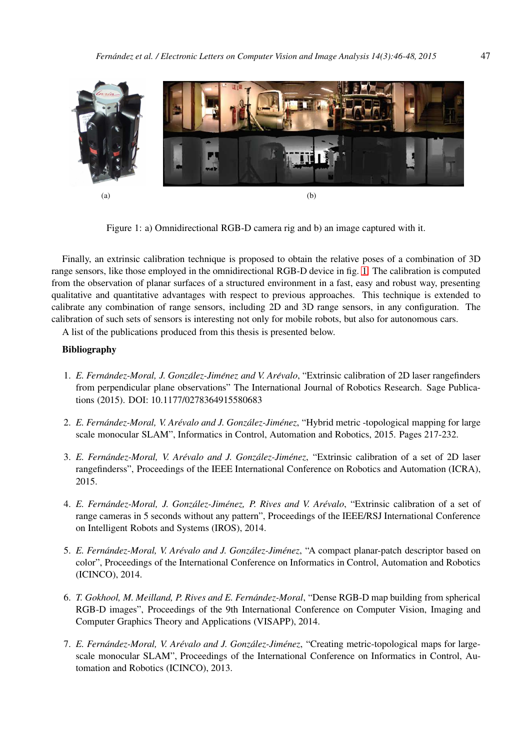

Figure 1: a) Omnidirectional RGB-D camera rig and b) an image captured with it.

<span id="page-1-0"></span>Finally, an extrinsic calibration technique is proposed to obtain the relative poses of a combination of 3D range sensors, like those employed in the omnidirectional RGB-D device in fig. [1.](#page-1-0) The calibration is computed from the observation of planar surfaces of a structured environment in a fast, easy and robust way, presenting qualitative and quantitative advantages with respect to previous approaches. This technique is extended to calibrate any combination of range sensors, including 2D and 3D range sensors, in any configuration. The calibration of such sets of sensors is interesting not only for mobile robots, but also for autonomous cars.

A list of the publications produced from this thesis is presented below.

## Bibliography

- 1. *E. Fernandez-Moral, J. Gonz ´ alez-Jim ´ enez and V. Ar ´ evalo ´* , "Extrinsic calibration of 2D laser rangefinders from perpendicular plane observations" The International Journal of Robotics Research. Sage Publications (2015). DOI: 10.1177/0278364915580683
- 2. *E. Fernandez-Moral, V. Ar ´ evalo and J. Gonz ´ alez-Jim ´ enez ´* , "Hybrid metric -topological mapping for large scale monocular SLAM", Informatics in Control, Automation and Robotics, 2015. Pages 217-232.
- 3. *E. Fernandez-Moral, V. Ar ´ evalo and J. Gonz ´ alez-Jim ´ enez ´* , "Extrinsic calibration of a set of 2D laser rangefinderss", Proceedings of the IEEE International Conference on Robotics and Automation (ICRA), 2015.
- 4. *E. Fernandez-Moral, J. Gonz ´ alez-Jim ´ enez, P. Rives and V. Ar ´ evalo ´* , "Extrinsic calibration of a set of range cameras in 5 seconds without any pattern", Proceedings of the IEEE/RSJ International Conference on Intelligent Robots and Systems (IROS), 2014.
- 5. *E. Fernandez-Moral, V. Ar ´ evalo and J. Gonz ´ alez-Jim ´ enez ´* , "A compact planar-patch descriptor based on color", Proceedings of the International Conference on Informatics in Control, Automation and Robotics (ICINCO), 2014.
- 6. *T. Gokhool, M. Meilland, P. Rives and E. Fernandez-Moral ´* , "Dense RGB-D map building from spherical RGB-D images", Proceedings of the 9th International Conference on Computer Vision, Imaging and Computer Graphics Theory and Applications (VISAPP), 2014.
- 7. *E. Fernandez-Moral, V. Ar ´ evalo and J. Gonz ´ alez-Jim ´ enez ´* , "Creating metric-topological maps for largescale monocular SLAM", Proceedings of the International Conference on Informatics in Control, Automation and Robotics (ICINCO), 2013.